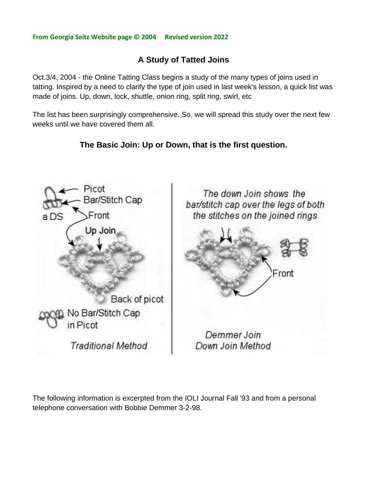## **From Georgia Seitz Website page © 2004 Revised version 2022**

## **A Study of Tatted Joins**

Oct.3/4, 2004 - the Online Tatting Class begins a study of the many types of joins used in tatting. Inspired by a need to clarify the type of join used in last week's lesson, a quick list was made of joins. Up, down, lock, shuttle, onion ring, split ring, swirl, etc

The list has been surprisingly comprehensive. So, we will spread this study over the next few weeks until we have covered them all.

## **The Basic Join: Up or Down, that is the first question.**



The following information is excerpted from the IOLI Journal Fall '93 and from a personal telephone conversation with Bobbie Demmer 3-2-98.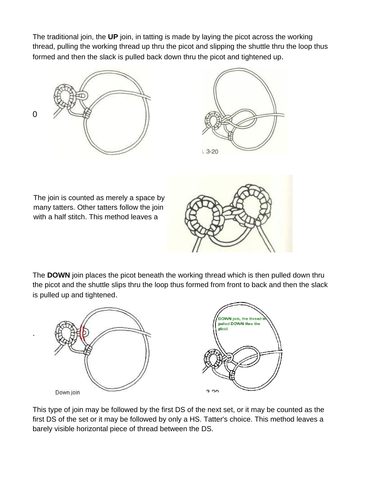The traditional join, the **UP** join, in tatting is made by laying the picot across the working thread, pulling the working thread up thru the picot and slipping the shuttle thru the loop thus formed and then the slack is pulled back down thru the picot and tightened up.





The join is counted as merely a space by many tatters. Other tatters follow the join with a half stitch. This method leaves a

.



The **DOWN** join places the picot beneath the working thread which is then pulled down thru the picot and the shuttle slips thru the loop thus formed from front to back and then the slack is pulled up and tightened.



This type of join may be followed by the first DS of the next set, or it may be counted as the first DS of the set or it may be followed by only a HS. Tatter's choice. This method leaves a barely visible horizontal piece of thread between the DS.